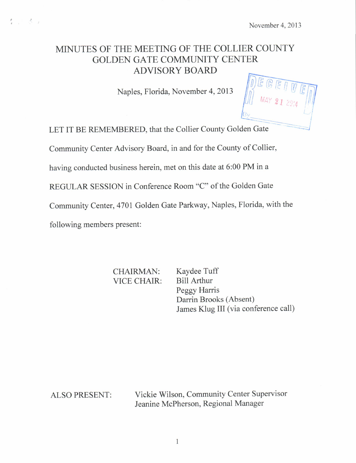# MINUTES OF THE MEETING OF THE COLLIER COUNTY GOLDEN GATE COMMUNITY CENTER ADVISORY BOARD

Naples, Florida, November 4, 2013

LET IT BE REMEMBERED, that the Collier County Golden Gate

Community Center Advisory Board, in and for the County of Collier,

having conducted business herein, met on this date at 6:00 PM in a

REGULAR SESSION in Conference Room "C" of the Golden Gate

Community Center, 4701 Golden Gate Parkway, Naples, Florida, with the

following members present:

 $4.781$ 

CHAIRMAN: Kaydee Tuff VICE CHAIR: Bill Arthur

Peggy Harris Darrin Brooks (Absent) James Klug III (via conference call)

ALSO PRESENT: Vickie Wilson, Community Center Supervisor Jeanine McPherson, Regional Manager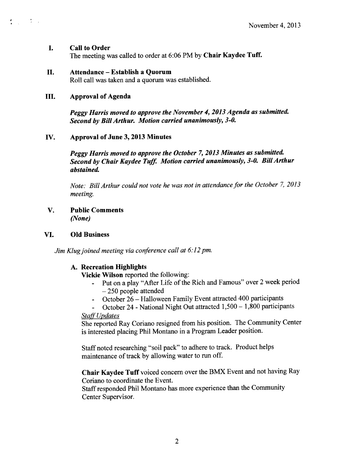#### $\mathbf{I}$ . Call to Order

The meeting was called to order at 6:06 PM by Chair Kaydee Tuff.

# II. Attendance—Establish <sup>a</sup> Quorum

Roll call was taken and a quorum was established.

# III. Approval of Agenda

 $\mathcal{L}_{\rm{max}}=100$ 

Peggy Harris moved to approve the November 4, 2013 Agenda as submitted. Second by Bill Arthur. Motion carried unanimously, 3-0.

# IV. Approval of June 3, 2013 Minutes

Peggy Harris moved to approve the October 7, 2013 Minutes as submitted. Second by Chair Kaydee Tuff. Motion carried unanimously, 3-0. Bill Arthur abstained.

Note: Bill Arthur could not vote he was not in attendance for the October 7, 2013 meeting.

V. Public Comments None)

# VI. Old Business

Jim Klug joined meeting via conference call at 6:12 pm.

# A. Recreation Highlights

Vickie Wilson reported the following:

- Put on a play" After Life of the Rich and Famous" over 2 week period 250 people attended
- October 26— Halloween Family Event attracted 400 participants
- October 24 National Night Out attracted 1, 500— 1, 800 participants  $\Delta \sim 1$

# **Staff Updates**

She reported Ray Coriano resigned from his position. The Community Center is interested placing Phil Montano in a Program Leader position.

Staff noted researching "soil pack" to adhere to track. Product helps maintenance of track by allowing water to run off.

Chair Kaydee Tuff voiced concern over the BMX Event and not having Ray Coriano to coordinate the Event.

Staff responded Phil Montano has more experience than the Community Center Supervisor.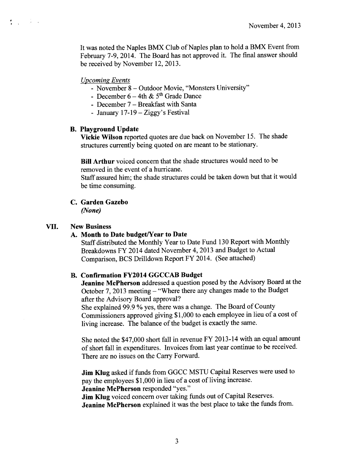It was noted the Naples BMX Club of Naples plan to hold a BMX Event from February 7-9, 2014. The Board has not approved it. The final answer should be received by November 12, 2013.

### Upcoming Events

 $\mathbf{f}_{\mathrm{max}}$  , where  $\mathbf{f}_{\mathrm{max}}$ 

- November 8 Outdoor Movie, "Monsters University"
- December  $6-4th \& 5<sup>th</sup>$  Grade Dance
- December 7— Breakfast with Santa
- January  $17-19$  Ziggy's Festival

#### B. Playground Update

Vickie Wilson reported quotes are due back on November 15. The shade structures currently being quoted on are meant to be stationary.

Bill Arthur voiced concern that the shade structures would need to be removed in the event of a hurricane.

Staff assured him; the shade structures could be taken down but that it would be time consuming.

#### C. Garden Gazebo None)

#### VII. New Business

#### A. Month to Date budget/Year to Date

Staff distributed the Monthly Year to Date Fund 130 Report with Monthly Breakdowns FY 2014 dated November 4, 2013 and Budget to Actual Comparison, BCS Drilldown Report FY 2014. ( See attached)

## B. Confirmation FY2014 GGCCAB Budget

Jeanine McPherson addressed a question posed by the Advisory Board at the October 7, 2013 meeting—" Where there any changes made to the Budget after the Advisory Board approval?

She explained 99.9 % yes, there was <sup>a</sup> change. The Board of County Commissioners approved giving \$1, 000 to each employee in lieu of a cost of living increase. The balance of the budget is exactly the same.

She noted the \$47,000 short fall in revenue FY 2013- 14 with an equal amount of short fall in expenditures. Invoices from last year continue to be received. There are no issues on the Carry Forward.

Jim Klug asked if funds from GGCC MSTU Capital Reserves were used to pay the employees \$1,000 in lieu of a cost of living increase. Jeanine McPherson responded "yes."

Jim Klug voiced concern over taking funds out of Capital Reserves. Jeanine McPherson explained it was the best place to take the funds from.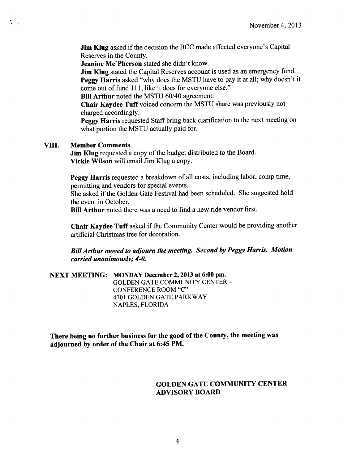Jim Klug asked if the decision the BCC made affected everyone's Capital Reserves in the County.

Jeanine Mc'Pherson stated she didn't know.

**Jim Klug** stated the Capital Reserves account is used as an emergency fund. Peggy Harris asked "why does the MSTU have to pay it at all; why doesn't it come out of fund 111, like it does for everyone else."

Bill Arthur noted the MSTU 60/40 agreement.

Chair Kaydee Tuff voiced concern the MSTU share was previously not charged accordingly.

Peggy Harris requested Staff bring back clarification to the next meeting on what portion the MSTU actually paid for.

#### VIII. Member Comments

 $\frac{1}{2}$  ,  $\frac{1}{2}$  ,  $\frac{1}{2}$  ,  $\frac{1}{2}$ 

Jim Klug requested a copy of the budget distributed to the Board. Vickie Wilson will email Jim Klug <sup>a</sup> copy.

Peggy Harris requested a breakdown of all costs, including labor, comp time, permitting and vendors for special events.

She asked if the Golden Gate Festival had been scheduled. She suggested hold the event in October.

Bill Arthur noted there was <sup>a</sup> need to find <sup>a</sup> new ride vendor first.

Chair Kaydee Tuff asked if the Community Center would be providing another artificial Christmas tree for decoration.

BillArthur moved to adjourn the meeting. Second by Peggy Harris. Motion carried unanimously; 4-0.

NEXT MEETING: MONDAY December 2, 2013 at 6:00 pm. GOLDEN GATE COMMUNITY CENTER— CONFERENCE ROOM "C" 4701 GOLDEN GATE PARKWAY NAPLES, FLORIDA

There being no further business for the good of the County, the meeting was adjourned by order of the Chair at 6:45 PM.

# GOLDEN GATE COMMUNITY CENTER ADVISORY BOARD